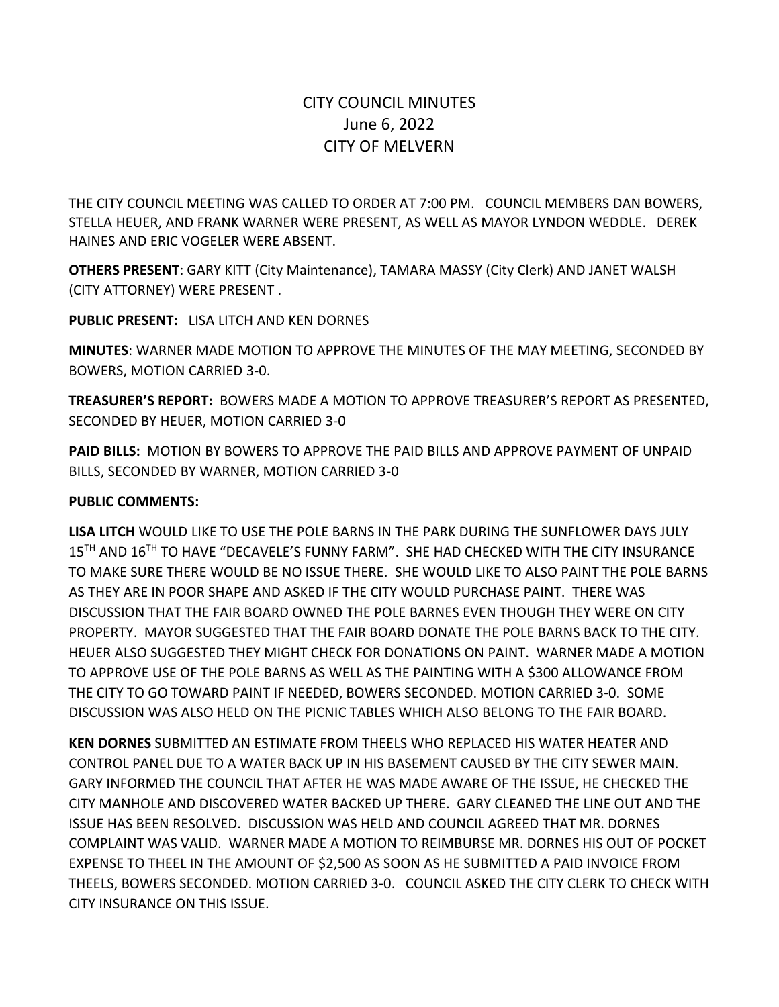# CITY COUNCIL MINUTES June 6, 2022 CITY OF MELVERN

THE CITY COUNCIL MEETING WAS CALLED TO ORDER AT 7:00 PM. COUNCIL MEMBERS DAN BOWERS, STELLA HEUER, AND FRANK WARNER WERE PRESENT, AS WELL AS MAYOR LYNDON WEDDLE. DEREK HAINES AND ERIC VOGELER WERE ABSENT.

**OTHERS PRESENT**: GARY KITT (City Maintenance), TAMARA MASSY (City Clerk) AND JANET WALSH (CITY ATTORNEY) WERE PRESENT .

**PUBLIC PRESENT:** LISA LITCH AND KEN DORNES

**MINUTES**: WARNER MADE MOTION TO APPROVE THE MINUTES OF THE MAY MEETING, SECONDED BY BOWERS, MOTION CARRIED 3-0.

**TREASURER'S REPORT:** BOWERS MADE A MOTION TO APPROVE TREASURER'S REPORT AS PRESENTED, SECONDED BY HEUER, MOTION CARRIED 3-0

**PAID BILLS:** MOTION BY BOWERS TO APPROVE THE PAID BILLS AND APPROVE PAYMENT OF UNPAID BILLS, SECONDED BY WARNER, MOTION CARRIED 3-0

#### **PUBLIC COMMENTS:**

**LISA LITCH** WOULD LIKE TO USE THE POLE BARNS IN THE PARK DURING THE SUNFLOWER DAYS JULY 15<sup>TH</sup> AND 16<sup>TH</sup> TO HAVE "DECAVELE'S FUNNY FARM". SHE HAD CHECKED WITH THE CITY INSURANCE TO MAKE SURE THERE WOULD BE NO ISSUE THERE. SHE WOULD LIKE TO ALSO PAINT THE POLE BARNS AS THEY ARE IN POOR SHAPE AND ASKED IF THE CITY WOULD PURCHASE PAINT. THERE WAS DISCUSSION THAT THE FAIR BOARD OWNED THE POLE BARNES EVEN THOUGH THEY WERE ON CITY PROPERTY. MAYOR SUGGESTED THAT THE FAIR BOARD DONATE THE POLE BARNS BACK TO THE CITY. HEUER ALSO SUGGESTED THEY MIGHT CHECK FOR DONATIONS ON PAINT. WARNER MADE A MOTION TO APPROVE USE OF THE POLE BARNS AS WELL AS THE PAINTING WITH A \$300 ALLOWANCE FROM THE CITY TO GO TOWARD PAINT IF NEEDED, BOWERS SECONDED. MOTION CARRIED 3-0. SOME DISCUSSION WAS ALSO HELD ON THE PICNIC TABLES WHICH ALSO BELONG TO THE FAIR BOARD.

**KEN DORNES** SUBMITTED AN ESTIMATE FROM THEELS WHO REPLACED HIS WATER HEATER AND CONTROL PANEL DUE TO A WATER BACK UP IN HIS BASEMENT CAUSED BY THE CITY SEWER MAIN. GARY INFORMED THE COUNCIL THAT AFTER HE WAS MADE AWARE OF THE ISSUE, HE CHECKED THE CITY MANHOLE AND DISCOVERED WATER BACKED UP THERE. GARY CLEANED THE LINE OUT AND THE ISSUE HAS BEEN RESOLVED. DISCUSSION WAS HELD AND COUNCIL AGREED THAT MR. DORNES COMPLAINT WAS VALID. WARNER MADE A MOTION TO REIMBURSE MR. DORNES HIS OUT OF POCKET EXPENSE TO THEEL IN THE AMOUNT OF \$2,500 AS SOON AS HE SUBMITTED A PAID INVOICE FROM THEELS, BOWERS SECONDED. MOTION CARRIED 3-0. COUNCIL ASKED THE CITY CLERK TO CHECK WITH CITY INSURANCE ON THIS ISSUE.